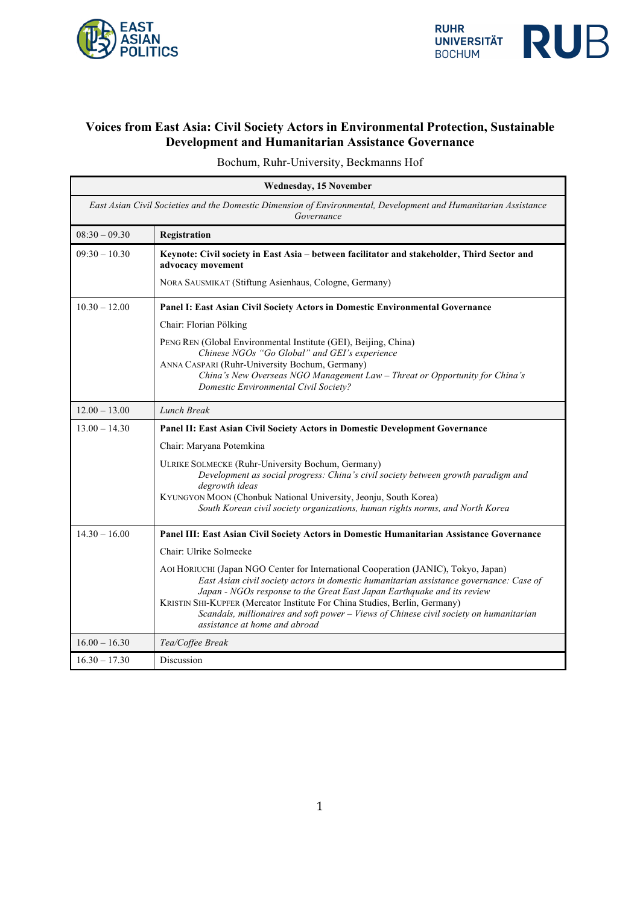



## **Voices from East Asia: Civil Society Actors in Environmental Protection, Sustainable Development and Humanitarian Assistance Governance**

Bochum, Ruhr-University, Beckmanns Hof

| <b>Wednesday, 15 November</b>                                                                                                 |                                                                                                                                                                                |
|-------------------------------------------------------------------------------------------------------------------------------|--------------------------------------------------------------------------------------------------------------------------------------------------------------------------------|
| East Asian Civil Societies and the Domestic Dimension of Environmental, Development and Humanitarian Assistance<br>Governance |                                                                                                                                                                                |
| $08:30 - 09.30$                                                                                                               | Registration                                                                                                                                                                   |
| $09:30 - 10.30$                                                                                                               | Keynote: Civil society in East Asia - between facilitator and stakeholder, Third Sector and<br>advocacy movement                                                               |
|                                                                                                                               | NORA SAUSMIKAT (Stiftung Asienhaus, Cologne, Germany)                                                                                                                          |
| $10.30 - 12.00$                                                                                                               | Panel I: East Asian Civil Society Actors in Domestic Environmental Governance                                                                                                  |
|                                                                                                                               | Chair: Florian Pölking                                                                                                                                                         |
|                                                                                                                               | PENG REN (Global Environmental Institute (GEI), Beijing, China)                                                                                                                |
|                                                                                                                               | Chinese NGOs "Go Global" and GEI's experience<br>ANNA CASPARI (Ruhr-University Bochum, Germany)                                                                                |
|                                                                                                                               | China's New Overseas NGO Management Law - Threat or Opportunity for China's                                                                                                    |
|                                                                                                                               | Domestic Environmental Civil Society?                                                                                                                                          |
| $12.00 - 13.00$                                                                                                               | Lunch Break                                                                                                                                                                    |
| $13.00 - 14.30$                                                                                                               | Panel II: East Asian Civil Society Actors in Domestic Development Governance                                                                                                   |
|                                                                                                                               | Chair: Maryana Potemkina                                                                                                                                                       |
|                                                                                                                               | <b>ULRIKE SOLMECKE (Ruhr-University Bochum, Germany)</b>                                                                                                                       |
|                                                                                                                               | Development as social progress: China's civil society between growth paradigm and<br>degrowth ideas                                                                            |
|                                                                                                                               | KYUNGYON MOON (Chonbuk National University, Jeonju, South Korea)                                                                                                               |
|                                                                                                                               | South Korean civil society organizations, human rights norms, and North Korea                                                                                                  |
| $14.30 - 16.00$                                                                                                               | Panel III: East Asian Civil Society Actors in Domestic Humanitarian Assistance Governance                                                                                      |
|                                                                                                                               | Chair: Ulrike Solmecke                                                                                                                                                         |
|                                                                                                                               | AOI HORIUCHI (Japan NGO Center for International Cooperation (JANIC), Tokyo, Japan)<br>East Asian civil society actors in domestic humanitarian assistance governance: Case of |
|                                                                                                                               | Japan - NGOs response to the Great East Japan Earthquake and its review                                                                                                        |
|                                                                                                                               | KRISTIN SHI-KUPFER (Mercator Institute For China Studies, Berlin, Germany)                                                                                                     |
|                                                                                                                               | Scandals, millionaires and soft power - Views of Chinese civil society on humanitarian<br>assistance at home and abroad                                                        |
| $16.00 - 16.30$                                                                                                               | Tea/Coffee Break                                                                                                                                                               |
| $16.30 - 17.30$                                                                                                               | Discussion                                                                                                                                                                     |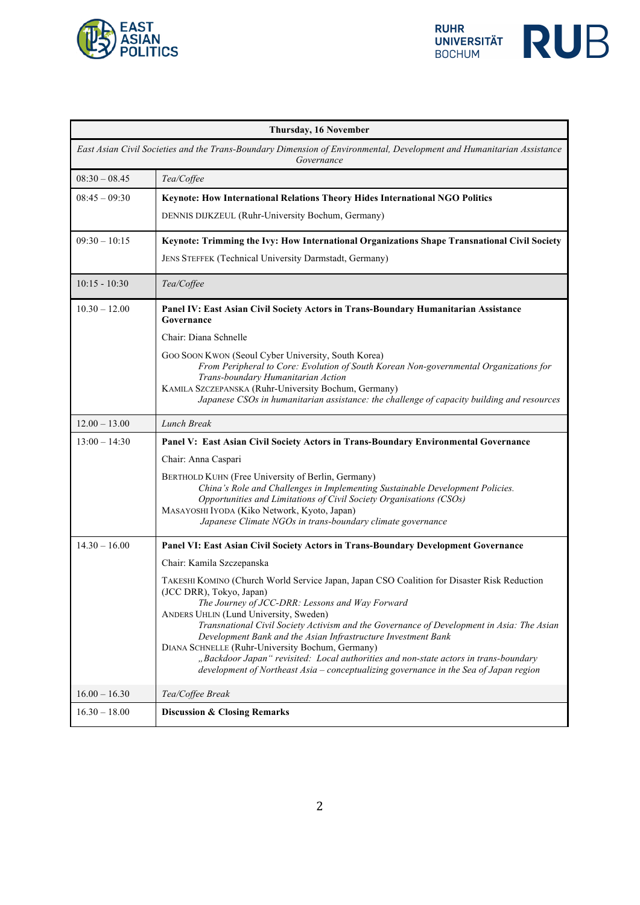



| Thursday, 16 November                                                                                                               |                                                                                                                                                                                                                                                                                                                                                                                                                                                                                                                                                                                                                         |
|-------------------------------------------------------------------------------------------------------------------------------------|-------------------------------------------------------------------------------------------------------------------------------------------------------------------------------------------------------------------------------------------------------------------------------------------------------------------------------------------------------------------------------------------------------------------------------------------------------------------------------------------------------------------------------------------------------------------------------------------------------------------------|
| East Asian Civil Societies and the Trans-Boundary Dimension of Environmental, Development and Humanitarian Assistance<br>Governance |                                                                                                                                                                                                                                                                                                                                                                                                                                                                                                                                                                                                                         |
| $08:30 - 08.45$                                                                                                                     | Tea/Coffee                                                                                                                                                                                                                                                                                                                                                                                                                                                                                                                                                                                                              |
| $08:45 - 09:30$                                                                                                                     | Keynote: How International Relations Theory Hides International NGO Politics                                                                                                                                                                                                                                                                                                                                                                                                                                                                                                                                            |
|                                                                                                                                     | DENNIS DIJKZEUL (Ruhr-University Bochum, Germany)                                                                                                                                                                                                                                                                                                                                                                                                                                                                                                                                                                       |
| $09:30 - 10:15$                                                                                                                     | Keynote: Trimming the Ivy: How International Organizations Shape Transnational Civil Society                                                                                                                                                                                                                                                                                                                                                                                                                                                                                                                            |
|                                                                                                                                     | JENS STEFFEK (Technical University Darmstadt, Germany)                                                                                                                                                                                                                                                                                                                                                                                                                                                                                                                                                                  |
| $10:15 - 10:30$                                                                                                                     | Tea/Coffee                                                                                                                                                                                                                                                                                                                                                                                                                                                                                                                                                                                                              |
| $10.30 - 12.00$                                                                                                                     | Panel IV: East Asian Civil Society Actors in Trans-Boundary Humanitarian Assistance<br>Governance                                                                                                                                                                                                                                                                                                                                                                                                                                                                                                                       |
|                                                                                                                                     | Chair: Diana Schnelle                                                                                                                                                                                                                                                                                                                                                                                                                                                                                                                                                                                                   |
|                                                                                                                                     | Goo Soon Kwon (Seoul Cyber University, South Korea)<br>From Peripheral to Core: Evolution of South Korean Non-governmental Organizations for<br>Trans-boundary Humanitarian Action<br>KAMILA SZCZEPANSKA (Ruhr-University Bochum, Germany)<br>Japanese CSOs in humanitarian assistance: the challenge of capacity building and resources                                                                                                                                                                                                                                                                                |
| $12.00 - 13.00$                                                                                                                     | Lunch Break                                                                                                                                                                                                                                                                                                                                                                                                                                                                                                                                                                                                             |
| $13:00 - 14:30$                                                                                                                     | Panel V: East Asian Civil Society Actors in Trans-Boundary Environmental Governance                                                                                                                                                                                                                                                                                                                                                                                                                                                                                                                                     |
|                                                                                                                                     | Chair: Anna Caspari                                                                                                                                                                                                                                                                                                                                                                                                                                                                                                                                                                                                     |
|                                                                                                                                     | BERTHOLD KUHN (Free University of Berlin, Germany)<br>China's Role and Challenges in Implementing Sustainable Development Policies.<br>Opportunities and Limitations of Civil Society Organisations (CSOs)<br>MASAYOSHI IYODA (Kiko Network, Kyoto, Japan)<br>Japanese Climate NGOs in trans-boundary climate governance                                                                                                                                                                                                                                                                                                |
| $14.30 - 16.00$                                                                                                                     | Panel VI: East Asian Civil Society Actors in Trans-Boundary Development Governance                                                                                                                                                                                                                                                                                                                                                                                                                                                                                                                                      |
|                                                                                                                                     | Chair: Kamila Szczepanska                                                                                                                                                                                                                                                                                                                                                                                                                                                                                                                                                                                               |
|                                                                                                                                     | TAKESHI KOMINO (Church World Service Japan, Japan CSO Coalition for Disaster Risk Reduction<br>(JCC DRR), Tokyo, Japan)<br>The Journey of JCC-DRR: Lessons and Way Forward<br>ANDERS UHLIN (Lund University, Sweden)<br>Transnational Civil Society Activism and the Governance of Development in Asia: The Asian<br>Development Bank and the Asian Infrastructure Investment Bank<br>DIANA SCHNELLE (Ruhr-University Bochum, Germany)<br>"Backdoor Japan" revisited: Local authorities and non-state actors in trans-boundary<br>development of Northeast Asia - conceptualizing governance in the Sea of Japan region |
| $16.00 - 16.30$                                                                                                                     | Tea/Coffee Break                                                                                                                                                                                                                                                                                                                                                                                                                                                                                                                                                                                                        |
| $16.30 - 18.00$                                                                                                                     | <b>Discussion &amp; Closing Remarks</b>                                                                                                                                                                                                                                                                                                                                                                                                                                                                                                                                                                                 |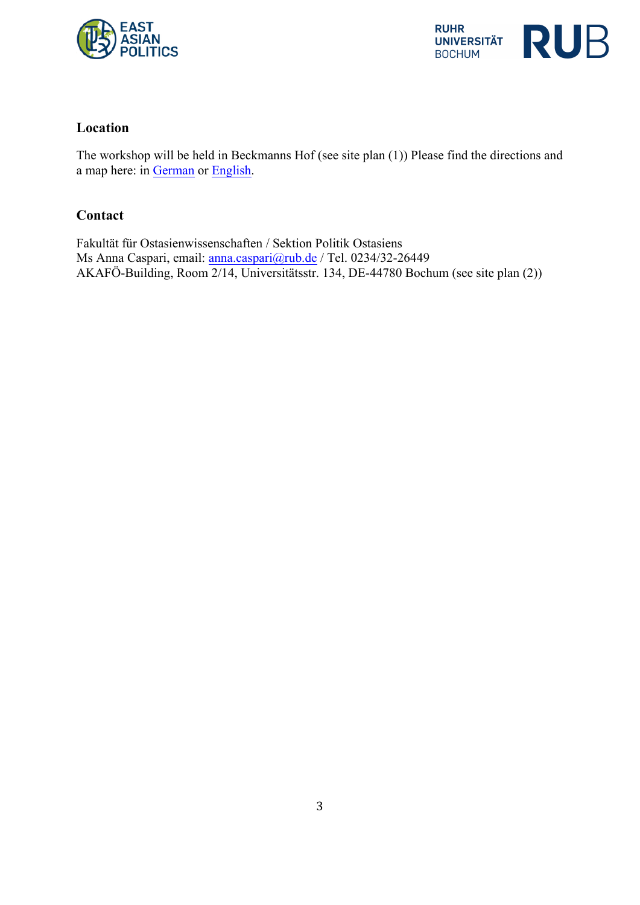



## **Location**

The workshop will be held in Beckmanns Hof (see site plan (1)) Please find the directions and a map here: in German or English.

## **Contact**

Fakultät für Ostasienwissenschaften / Sektion Politik Ostasiens Ms Anna Caspari, email: anna.caspari@rub.de / Tel. 0234/32-26449 AKAFÖ-Building, Room 2/14, Universitätsstr. 134, DE-44780 Bochum (see site plan (2))